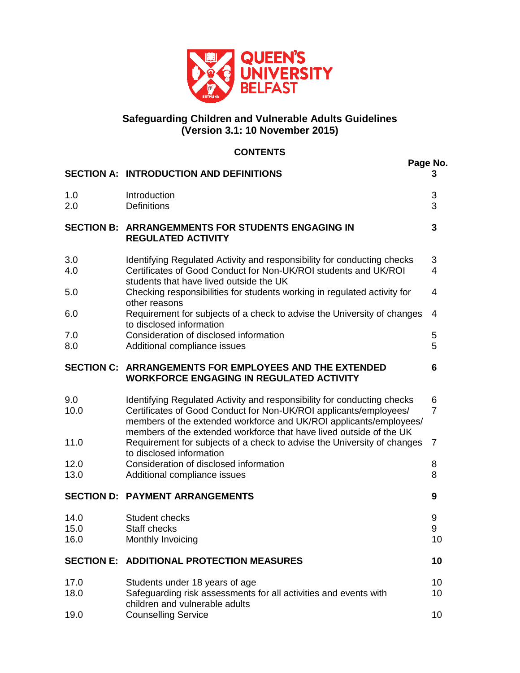

# **Safeguarding Children and Vulnerable Adults Guidelines (Version 3.1: 10 November 2015)**

# **CONTENTS**

|                      |                                                                                                                                                                                                                                                                                           | Page No.            |
|----------------------|-------------------------------------------------------------------------------------------------------------------------------------------------------------------------------------------------------------------------------------------------------------------------------------------|---------------------|
|                      | <b>SECTION A: INTRODUCTION AND DEFINITIONS</b>                                                                                                                                                                                                                                            | 3                   |
| 1.0<br>2.0           | Introduction<br><b>Definitions</b>                                                                                                                                                                                                                                                        | 3<br>3              |
| <b>SECTION B:</b>    | <b>ARRANGEMMENTS FOR STUDENTS ENGAGING IN</b><br><b>REGULATED ACTIVITY</b>                                                                                                                                                                                                                | 3                   |
| 3.0<br>4.0           | Identifying Regulated Activity and responsibility for conducting checks<br>Certificates of Good Conduct for Non-UK/ROI students and UK/ROI<br>students that have lived outside the UK                                                                                                     | 3<br>4              |
| 5.0                  | Checking responsibilities for students working in regulated activity for<br>other reasons                                                                                                                                                                                                 | 4                   |
| 6.0                  | Requirement for subjects of a check to advise the University of changes<br>to disclosed information                                                                                                                                                                                       | 4                   |
| 7.0<br>8.0           | Consideration of disclosed information<br>Additional compliance issues                                                                                                                                                                                                                    | 5<br>5              |
|                      | <b>SECTION C: ARRANGEMENTS FOR EMPLOYEES AND THE EXTENDED</b><br><b>WORKFORCE ENGAGING IN REGULATED ACTIVITY</b>                                                                                                                                                                          | 6                   |
| 9.0<br>10.0          | Identifying Regulated Activity and responsibility for conducting checks<br>Certificates of Good Conduct for Non-UK/ROI applicants/employees/<br>members of the extended workforce and UK/ROI applicants/employees/<br>members of the extended workforce that have lived outside of the UK | 6<br>$\overline{7}$ |
| 11.0                 | Requirement for subjects of a check to advise the University of changes<br>to disclosed information                                                                                                                                                                                       | 7                   |
| 12.0<br>13.0         | Consideration of disclosed information<br>Additional compliance issues                                                                                                                                                                                                                    | 8<br>8              |
|                      | <b>SECTION D: PAYMENT ARRANGEMENTS</b>                                                                                                                                                                                                                                                    | 9                   |
| 14.0<br>15.0<br>16.0 | Student checks<br>Staff checks<br>Monthly Invoicing                                                                                                                                                                                                                                       | 9<br>9<br>10        |
| <b>SECTION E:</b>    | <b>ADDITIONAL PROTECTION MEASURES</b>                                                                                                                                                                                                                                                     | 10                  |
| 17.0<br>18.0         | Students under 18 years of age<br>Safeguarding risk assessments for all activities and events with<br>children and vulnerable adults                                                                                                                                                      | 10<br>10            |
| 19.0                 | <b>Counselling Service</b>                                                                                                                                                                                                                                                                | 10                  |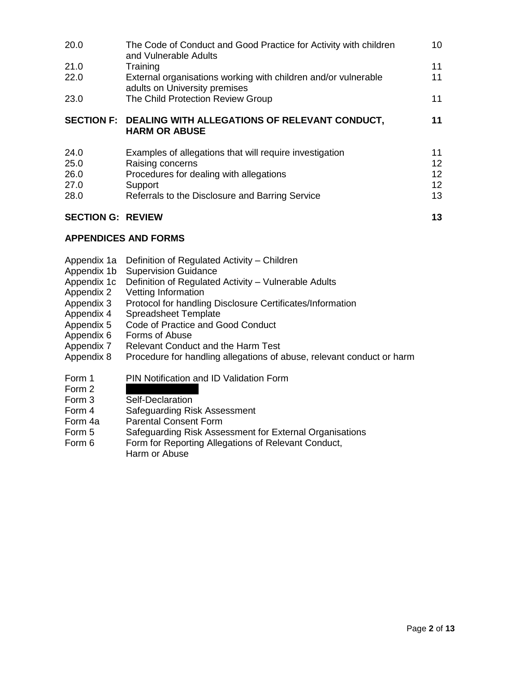| 20.0                     | The Code of Conduct and Good Practice for Activity with children<br>and Vulnerable Adults       | 10 <sup>°</sup> |
|--------------------------|-------------------------------------------------------------------------------------------------|-----------------|
| 21.0                     | Training                                                                                        | 11              |
| 22.0                     | External organisations working with children and/or vulnerable<br>adults on University premises | 11              |
| 23.0                     | The Child Protection Review Group                                                               | 11              |
|                          | SECTION F: DEALING WITH ALLEGATIONS OF RELEVANT CONDUCT,<br><b>HARM OR ABUSE</b>                | 11              |
| 24.0                     | Examples of allegations that will require investigation                                         | 11              |
| 25.0                     | Raising concerns                                                                                | 12 <sup>2</sup> |
| 26.0                     | Procedures for dealing with allegations                                                         | 12 <sup>2</sup> |
| 27.0                     | Support                                                                                         | 12 <sup>2</sup> |
| 28.0                     | Referrals to the Disclosure and Barring Service                                                 | 13              |
| <b>SECTION G: REVIEW</b> |                                                                                                 | 13              |

# **APPENDICES AND FORMS**

- Appendix 1a Definition of Regulated Activity Children
- Appendix 1b Supervision Guidance
- Appendix 1c Definition of Regulated Activity Vulnerable Adults
- Appendix 2 Vetting Information
- Appendix 3 Protocol for handling Disclosure Certificates/Information
- Appendix 4 Spreadsheet Template
- Appendix 5 Code of Practice and Good Conduct
- Appendix 6 Forms of Abuse
- Appendix 7 Relevant Conduct and the Harm Test
- Appendix 8 Procedure for handling allegations of abuse, relevant conduct or harm
- Form 1 PIN Notification and ID Validation Form
- Form  $2$
- Form 3 Self-Declaration
- Form 4 Safeguarding Risk Assessment<br>Form 4a Parental Consent Form
- Parental Consent Form
- Form 5 Safeguarding Risk Assessment for External Organisations
- Form 6 Form for Reporting Allegations of Relevant Conduct, Harm or Abuse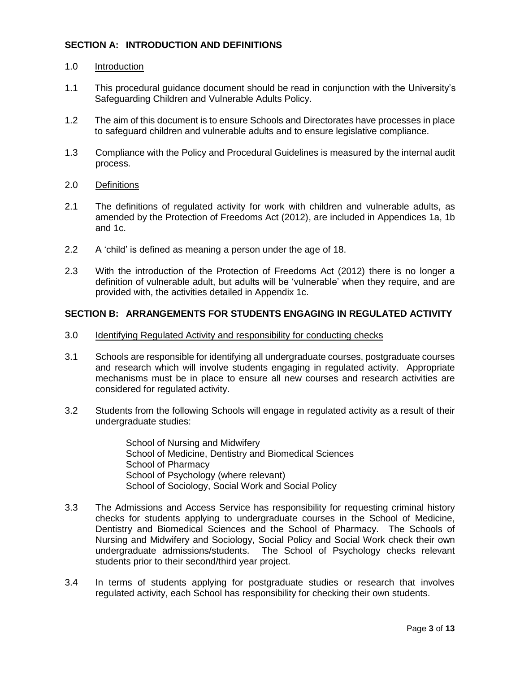# **SECTION A: INTRODUCTION AND DEFINITIONS**

#### 1.0 Introduction

- 1.1 This procedural guidance document should be read in conjunction with the University's Safeguarding Children and Vulnerable Adults Policy.
- 1.2 The aim of this document is to ensure Schools and Directorates have processes in place to safeguard children and vulnerable adults and to ensure legislative compliance.
- 1.3 Compliance with the Policy and Procedural Guidelines is measured by the internal audit process.
- 2.0 Definitions
- 2.1 The definitions of regulated activity for work with children and vulnerable adults, as amended by the Protection of Freedoms Act (2012), are included in Appendices 1a, 1b and 1c.
- 2.2 A 'child' is defined as meaning a person under the age of 18.
- 2.3 With the introduction of the Protection of Freedoms Act (2012) there is no longer a definition of vulnerable adult, but adults will be 'vulnerable' when they require, and are provided with, the activities detailed in Appendix 1c.

### **SECTION B: ARRANGEMENTS FOR STUDENTS ENGAGING IN REGULATED ACTIVITY**

- 3.0 Identifying Regulated Activity and responsibility for conducting checks
- 3.1 Schools are responsible for identifying all undergraduate courses, postgraduate courses and research which will involve students engaging in regulated activity. Appropriate mechanisms must be in place to ensure all new courses and research activities are considered for regulated activity.
- 3.2 Students from the following Schools will engage in regulated activity as a result of their undergraduate studies:

School of Nursing and Midwifery School of Medicine, Dentistry and Biomedical Sciences School of Pharmacy School of Psychology (where relevant) School of Sociology, Social Work and Social Policy

- 3.3 The Admissions and Access Service has responsibility for requesting criminal history checks for students applying to undergraduate courses in the School of Medicine, Dentistry and Biomedical Sciences and the School of Pharmacy. The Schools of Nursing and Midwifery and Sociology, Social Policy and Social Work check their own undergraduate admissions/students. The School of Psychology checks relevant students prior to their second/third year project.
- 3.4 In terms of students applying for postgraduate studies or research that involves regulated activity, each School has responsibility for checking their own students.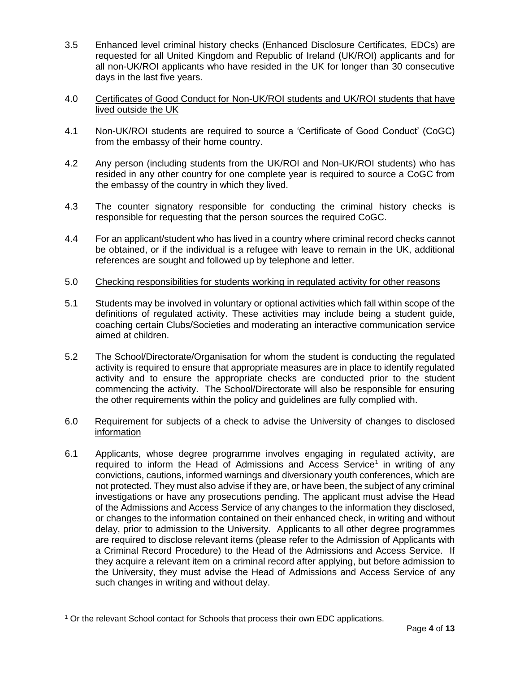- 3.5 Enhanced level criminal history checks (Enhanced Disclosure Certificates, EDCs) are requested for all United Kingdom and Republic of Ireland (UK/ROI) applicants and for all non-UK/ROI applicants who have resided in the UK for longer than 30 consecutive days in the last five years.
- 4.0 Certificates of Good Conduct for Non-UK/ROI students and UK/ROI students that have lived outside the UK
- 4.1 Non-UK/ROI students are required to source a 'Certificate of Good Conduct' (CoGC) from the embassy of their home country.
- 4.2 Any person (including students from the UK/ROI and Non-UK/ROI students) who has resided in any other country for one complete year is required to source a CoGC from the embassy of the country in which they lived.
- 4.3 The counter signatory responsible for conducting the criminal history checks is responsible for requesting that the person sources the required CoGC.
- 4.4 For an applicant/student who has lived in a country where criminal record checks cannot be obtained, or if the individual is a refugee with leave to remain in the UK, additional references are sought and followed up by telephone and letter.
- 5.0 Checking responsibilities for students working in regulated activity for other reasons
- 5.1 Students may be involved in voluntary or optional activities which fall within scope of the definitions of regulated activity. These activities may include being a student guide, coaching certain Clubs/Societies and moderating an interactive communication service aimed at children.
- 5.2 The School/Directorate/Organisation for whom the student is conducting the regulated activity is required to ensure that appropriate measures are in place to identify regulated activity and to ensure the appropriate checks are conducted prior to the student commencing the activity. The School/Directorate will also be responsible for ensuring the other requirements within the policy and guidelines are fully complied with.
- 6.0 Requirement for subjects of a check to advise the University of changes to disclosed information
- 6.1 Applicants, whose degree programme involves engaging in regulated activity, are required to inform the Head of Admissions and Access Service<sup>1</sup> in writing of any convictions, cautions, informed warnings and diversionary youth conferences, which are not protected. They must also advise if they are, or have been, the subject of any criminal investigations or have any prosecutions pending. The applicant must advise the Head of the Admissions and Access Service of any changes to the information they disclosed, or changes to the information contained on their enhanced check, in writing and without delay, prior to admission to the University. Applicants to all other degree programmes are required to disclose relevant items (please refer to the Admission of Applicants with a Criminal Record Procedure) to the Head of the Admissions and Access Service. If they acquire a relevant item on a criminal record after applying, but before admission to the University, they must advise the Head of Admissions and Access Service of any such changes in writing and without delay.

l

<sup>1</sup> Or the relevant School contact for Schools that process their own EDC applications.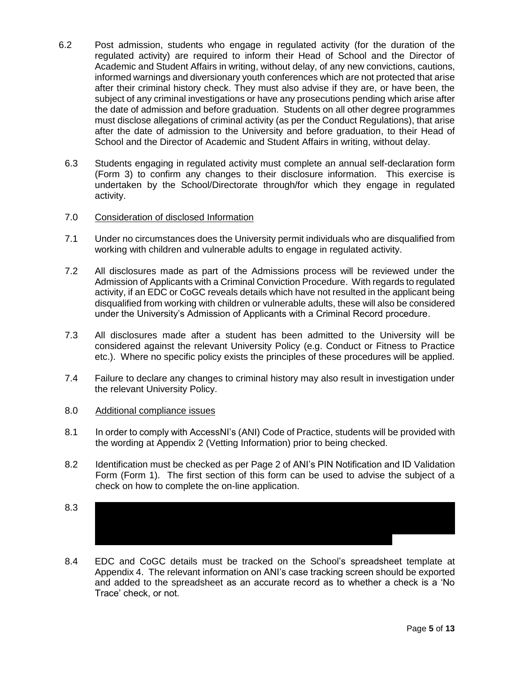- 6.2 Post admission, students who engage in regulated activity (for the duration of the regulated activity) are required to inform their Head of School and the Director of Academic and Student Affairs in writing, without delay, of any new convictions, cautions, informed warnings and diversionary youth conferences which are not protected that arise after their criminal history check. They must also advise if they are, or have been, the subject of any criminal investigations or have any prosecutions pending which arise after the date of admission and before graduation. Students on all other degree programmes must disclose allegations of criminal activity (as per the Conduct Regulations), that arise after the date of admission to the University and before graduation, to their Head of School and the Director of Academic and Student Affairs in writing, without delay.
- 6.3 Students engaging in regulated activity must complete an annual self-declaration form (Form 3) to confirm any changes to their disclosure information. This exercise is undertaken by the School/Directorate through/for which they engage in regulated activity.

### 7.0 Consideration of disclosed Information

- 7.1 Under no circumstances does the University permit individuals who are disqualified from working with children and vulnerable adults to engage in regulated activity.
- 7.2 All disclosures made as part of the Admissions process will be reviewed under the Admission of Applicants with a Criminal Conviction Procedure. With regards to regulated activity, if an EDC or CoGC reveals details which have not resulted in the applicant being disqualified from working with children or vulnerable adults, these will also be considered under the University's Admission of Applicants with a Criminal Record procedure.
- 7.3 All disclosures made after a student has been admitted to the University will be considered against the relevant University Policy (e.g. Conduct or Fitness to Practice etc.). Where no specific policy exists the principles of these procedures will be applied.
- 7.4 Failure to declare any changes to criminal history may also result in investigation under the relevant University Policy.

#### 8.0 Additional compliance issues

- 8.1 In order to comply with AccessNI's (ANI) Code of Practice, students will be provided with the wording at Appendix 2 (Vetting Information) prior to being checked.
- 8.2 Identification must be checked as per Page 2 of ANI's PIN Notification and ID Validation Form (Form 1). The first section of this form can be used to advise the subject of a check on how to complete the on-line application.
- $8.3$ CoGC or Self-Disclosure to placement providers, regulatory bodies, or other third parties. A Consent to Share statement is included in the Vetting Information at Appendix
- 8.4 EDC and CoGC details must be tracked on the School's spreadsheet template at Appendix 4. The relevant information on ANI's case tracking screen should be exported and added to the spreadsheet as an accurate record as to whether a check is a 'No Trace' check, or not.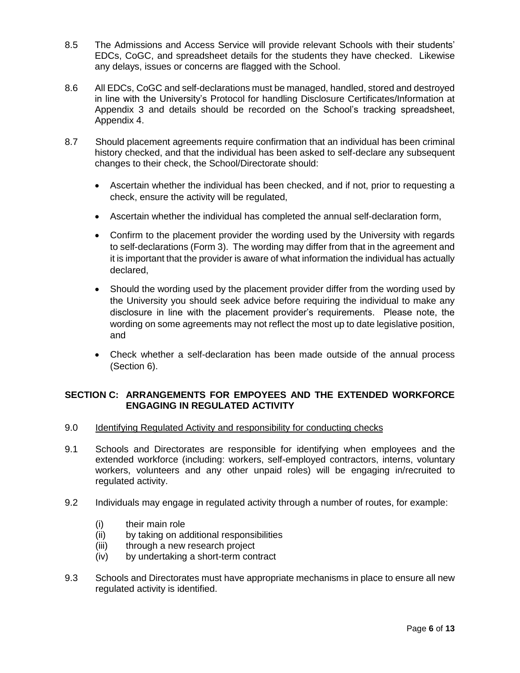- 8.5 The Admissions and Access Service will provide relevant Schools with their students' EDCs, CoGC, and spreadsheet details for the students they have checked. Likewise any delays, issues or concerns are flagged with the School.
- 8.6 All EDCs, CoGC and self-declarations must be managed, handled, stored and destroyed in line with the University's Protocol for handling Disclosure Certificates/Information at Appendix 3 and details should be recorded on the School's tracking spreadsheet, Appendix 4.
- 8.7 Should placement agreements require confirmation that an individual has been criminal history checked, and that the individual has been asked to self-declare any subsequent changes to their check, the School/Directorate should:
	- Ascertain whether the individual has been checked, and if not, prior to requesting a check, ensure the activity will be regulated,
	- Ascertain whether the individual has completed the annual self-declaration form,
	- Confirm to the placement provider the wording used by the University with regards to self-declarations (Form 3). The wording may differ from that in the agreement and it is important that the provider is aware of what information the individual has actually declared,
	- Should the wording used by the placement provider differ from the wording used by the University you should seek advice before requiring the individual to make any disclosure in line with the placement provider's requirements. Please note, the wording on some agreements may not reflect the most up to date legislative position, and
	- Check whether a self-declaration has been made outside of the annual process (Section 6).

# **SECTION C: ARRANGEMENTS FOR EMPOYEES AND THE EXTENDED WORKFORCE ENGAGING IN REGULATED ACTIVITY**

- 9.0 Identifying Regulated Activity and responsibility for conducting checks
- 9.1 Schools and Directorates are responsible for identifying when employees and the extended workforce (including: workers, self-employed contractors, interns, voluntary workers, volunteers and any other unpaid roles) will be engaging in/recruited to regulated activity.
- 9.2 Individuals may engage in regulated activity through a number of routes, for example:
	- (i) their main role
	- (ii) by taking on additional responsibilities
	- (iii) through a new research project
	- (iv) by undertaking a short-term contract
- 9.3 Schools and Directorates must have appropriate mechanisms in place to ensure all new regulated activity is identified.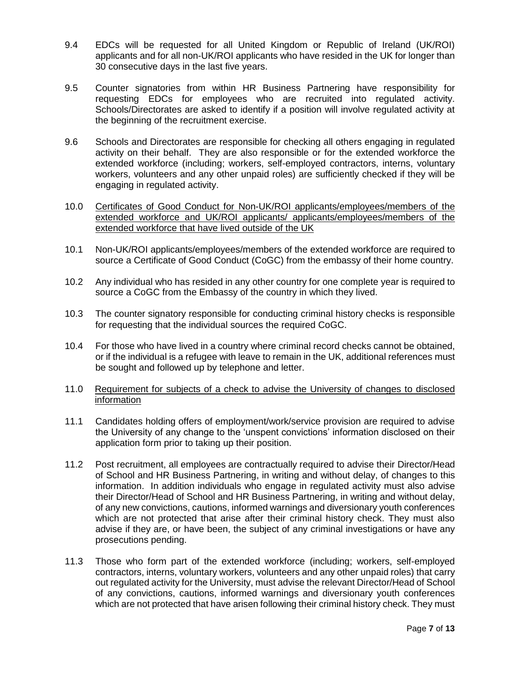- 9.4 EDCs will be requested for all United Kingdom or Republic of Ireland (UK/ROI) applicants and for all non-UK/ROI applicants who have resided in the UK for longer than 30 consecutive days in the last five years.
- 9.5 Counter signatories from within HR Business Partnering have responsibility for requesting EDCs for employees who are recruited into regulated activity. Schools/Directorates are asked to identify if a position will involve regulated activity at the beginning of the recruitment exercise.
- 9.6 Schools and Directorates are responsible for checking all others engaging in regulated activity on their behalf. They are also responsible or for the extended workforce the extended workforce (including; workers, self-employed contractors, interns, voluntary workers, volunteers and any other unpaid roles) are sufficiently checked if they will be engaging in regulated activity.
- 10.0 Certificates of Good Conduct for Non-UK/ROI applicants/employees/members of the extended workforce and UK/ROI applicants/ applicants/employees/members of the extended workforce that have lived outside of the UK
- 10.1 Non-UK/ROI applicants/employees/members of the extended workforce are required to source a Certificate of Good Conduct (CoGC) from the embassy of their home country.
- 10.2 Any individual who has resided in any other country for one complete year is required to source a CoGC from the Embassy of the country in which they lived.
- 10.3 The counter signatory responsible for conducting criminal history checks is responsible for requesting that the individual sources the required CoGC.
- 10.4 For those who have lived in a country where criminal record checks cannot be obtained, or if the individual is a refugee with leave to remain in the UK, additional references must be sought and followed up by telephone and letter.
- 11.0 Requirement for subjects of a check to advise the University of changes to disclosed information
- 11.1 Candidates holding offers of employment/work/service provision are required to advise the University of any change to the 'unspent convictions' information disclosed on their application form prior to taking up their position.
- 11.2 Post recruitment, all employees are contractually required to advise their Director/Head of School and HR Business Partnering, in writing and without delay, of changes to this information. In addition individuals who engage in regulated activity must also advise their Director/Head of School and HR Business Partnering, in writing and without delay, of any new convictions, cautions, informed warnings and diversionary youth conferences which are not protected that arise after their criminal history check. They must also advise if they are, or have been, the subject of any criminal investigations or have any prosecutions pending.
- 11.3 Those who form part of the extended workforce (including; workers, self-employed contractors, interns, voluntary workers, volunteers and any other unpaid roles) that carry out regulated activity for the University, must advise the relevant Director/Head of School of any convictions, cautions, informed warnings and diversionary youth conferences which are not protected that have arisen following their criminal history check. They must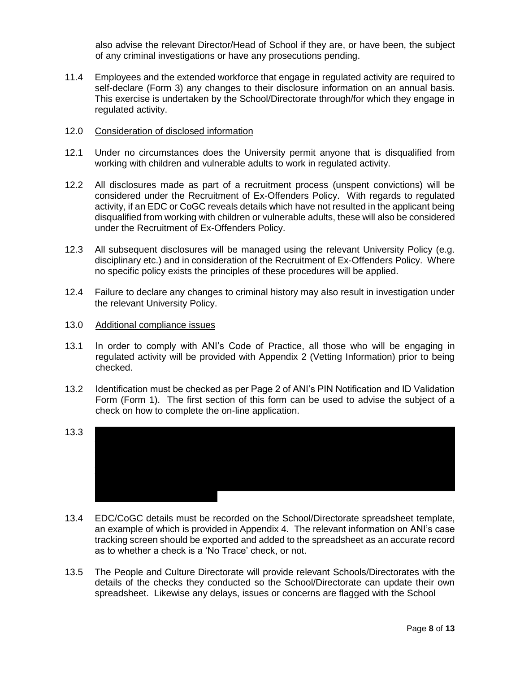also advise the relevant Director/Head of School if they are, or have been, the subject of any criminal investigations or have any prosecutions pending.

- 11.4 Employees and the extended workforce that engage in regulated activity are required to self-declare (Form 3) any changes to their disclosure information on an annual basis. This exercise is undertaken by the School/Directorate through/for which they engage in regulated activity.
- 12.0 Consideration of disclosed information
- 12.1 Under no circumstances does the University permit anyone that is disqualified from working with children and vulnerable adults to work in regulated activity.
- 12.2 All disclosures made as part of a recruitment process (unspent convictions) will be considered under the Recruitment of Ex-Offenders Policy. With regards to regulated activity, if an EDC or CoGC reveals details which have not resulted in the applicant being disqualified from working with children or vulnerable adults, these will also be considered under the Recruitment of Ex-Offenders Policy.
- 12.3 All subsequent disclosures will be managed using the relevant University Policy (e.g. disciplinary etc.) and in consideration of the Recruitment of Ex-Offenders Policy. Where no specific policy exists the principles of these procedures will be applied.
- 12.4 Failure to declare any changes to criminal history may also result in investigation under the relevant University Policy.
- 13.0 Additional compliance issues
- 13.1 In order to comply with ANI's Code of Practice, all those who will be engaging in regulated activity will be provided with Appendix 2 (Vetting Information) prior to being checked.
- 13.2 Identification must be checked as per Page 2 of ANI's PIN Notification and ID Validation Form (Form 1). The first section of this form can be used to advise the subject of a check on how to complete the on-line application.
- $13.3$ their EDC, CoGC or Self-Disclosure to placement providers, regulatory bodies or other third parties. A Consent to Share statement is included in the Vetting Information at the signed consent will be forwarded to the relevant School/Directorate by the Personnel Department. Schools/Directorates must seek consent for staff who were not recruited directly into regulated activity.
- 13.4 EDC/CoGC details must be recorded on the School/Directorate spreadsheet template, an example of which is provided in Appendix 4. The relevant information on ANI's case tracking screen should be exported and added to the spreadsheet as an accurate record as to whether a check is a 'No Trace' check, or not.
- 13.5 The People and Culture Directorate will provide relevant Schools/Directorates with the details of the checks they conducted so the School/Directorate can update their own spreadsheet. Likewise any delays, issues or concerns are flagged with the School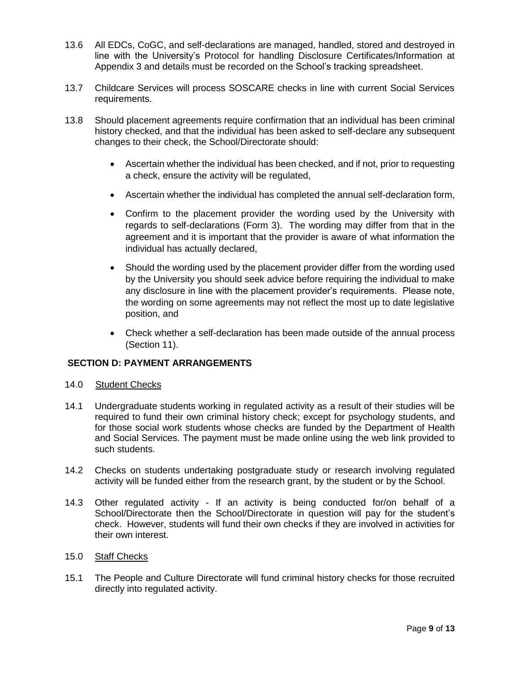- 13.6 All EDCs, CoGC, and self-declarations are managed, handled, stored and destroyed in line with the University's Protocol for handling Disclosure Certificates/Information at Appendix 3 and details must be recorded on the School's tracking spreadsheet.
- 13.7 Childcare Services will process SOSCARE checks in line with current Social Services requirements.
- 13.8 Should placement agreements require confirmation that an individual has been criminal history checked, and that the individual has been asked to self-declare any subsequent changes to their check, the School/Directorate should:
	- Ascertain whether the individual has been checked, and if not, prior to requesting a check, ensure the activity will be regulated,
	- Ascertain whether the individual has completed the annual self-declaration form,
	- Confirm to the placement provider the wording used by the University with regards to self-declarations (Form 3). The wording may differ from that in the agreement and it is important that the provider is aware of what information the individual has actually declared,
	- Should the wording used by the placement provider differ from the wording used by the University you should seek advice before requiring the individual to make any disclosure in line with the placement provider's requirements. Please note, the wording on some agreements may not reflect the most up to date legislative position, and
	- Check whether a self-declaration has been made outside of the annual process (Section 11).

# **SECTION D: PAYMENT ARRANGEMENTS**

- 14.0 Student Checks
- 14.1 Undergraduate students working in regulated activity as a result of their studies will be required to fund their own criminal history check; except for psychology students, and for those social work students whose checks are funded by the Department of Health and Social Services. The payment must be made online using the web link provided to such students.
- 14.2 Checks on students undertaking postgraduate study or research involving regulated activity will be funded either from the research grant, by the student or by the School.
- 14.3 Other regulated activity If an activity is being conducted for/on behalf of a School/Directorate then the School/Directorate in question will pay for the student's check. However, students will fund their own checks if they are involved in activities for their own interest.
- 15.0 Staff Checks
- 15.1 The People and Culture Directorate will fund criminal history checks for those recruited directly into regulated activity.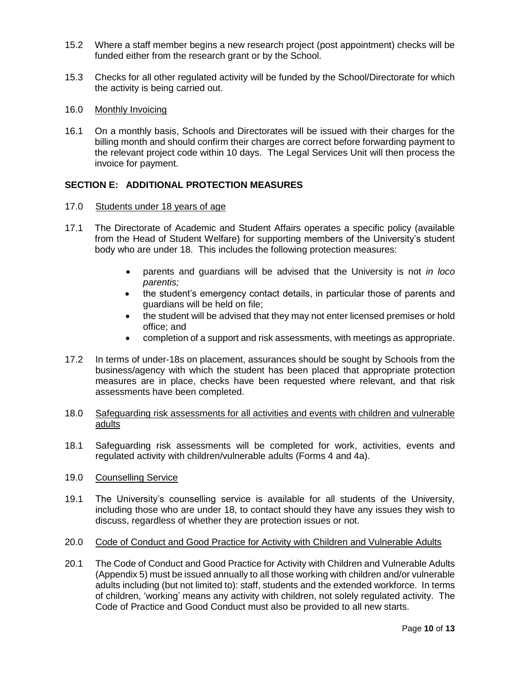- 15.2 Where a staff member begins a new research project (post appointment) checks will be funded either from the research grant or by the School.
- 15.3 Checks for all other regulated activity will be funded by the School/Directorate for which the activity is being carried out.
- 16.0 Monthly Invoicing
- 16.1 On a monthly basis, Schools and Directorates will be issued with their charges for the billing month and should confirm their charges are correct before forwarding payment to the relevant project code within 10 days. The Legal Services Unit will then process the invoice for payment.

# **SECTION E: ADDITIONAL PROTECTION MEASURES**

- 17.0 Students under 18 years of age
- 17.1 The Directorate of Academic and Student Affairs operates a specific policy (available from the Head of Student Welfare) for supporting members of the University's student body who are under 18. This includes the following protection measures:
	- parents and guardians will be advised that the University is not *in loco parentis;*
	- the student's emergency contact details, in particular those of parents and guardians will be held on file;
	- the student will be advised that they may not enter licensed premises or hold office; and
	- completion of a support and risk assessments, with meetings as appropriate.
- 17.2 In terms of under-18s on placement, assurances should be sought by Schools from the business/agency with which the student has been placed that appropriate protection measures are in place, checks have been requested where relevant, and that risk assessments have been completed.
- 18.0 Safeguarding risk assessments for all activities and events with children and vulnerable adults
- 18.1 Safeguarding risk assessments will be completed for work, activities, events and regulated activity with children/vulnerable adults (Forms 4 and 4a).
- 19.0 Counselling Service
- 19.1 The University's counselling service is available for all students of the University, including those who are under 18, to contact should they have any issues they wish to discuss, regardless of whether they are protection issues or not.
- 20.0 Code of Conduct and Good Practice for Activity with Children and Vulnerable Adults
- 20.1 The Code of Conduct and Good Practice for Activity with Children and Vulnerable Adults (Appendix 5) must be issued annually to all those working with children and/or vulnerable adults including (but not limited to): staff, students and the extended workforce. In terms of children, 'working' means any activity with children, not solely regulated activity. The Code of Practice and Good Conduct must also be provided to all new starts.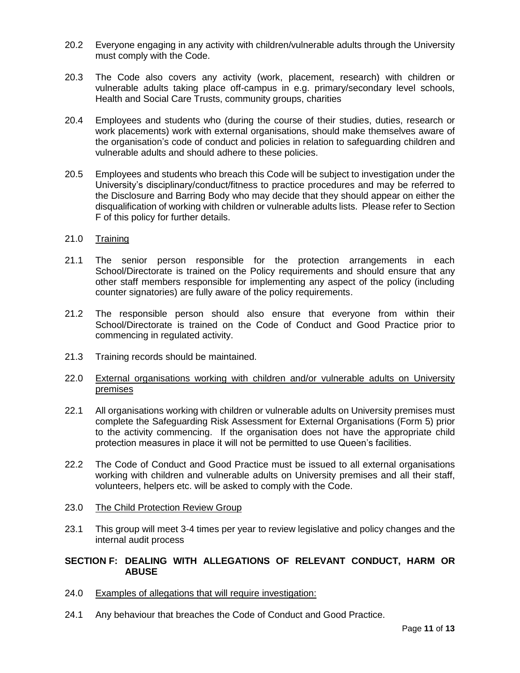- 20.2 Everyone engaging in any activity with children/vulnerable adults through the University must comply with the Code.
- 20.3 The Code also covers any activity (work, placement, research) with children or vulnerable adults taking place off-campus in e.g. primary/secondary level schools, Health and Social Care Trusts, community groups, charities
- 20.4 Employees and students who (during the course of their studies, duties, research or work placements) work with external organisations, should make themselves aware of the organisation's code of conduct and policies in relation to safeguarding children and vulnerable adults and should adhere to these policies.
- 20.5 Employees and students who breach this Code will be subject to investigation under the University's disciplinary/conduct/fitness to practice procedures and may be referred to the Disclosure and Barring Body who may decide that they should appear on either the disqualification of working with children or vulnerable adults lists. Please refer to Section F of this policy for further details.
- 21.0 Training
- 21.1 The senior person responsible for the protection arrangements in each School/Directorate is trained on the Policy requirements and should ensure that any other staff members responsible for implementing any aspect of the policy (including counter signatories) are fully aware of the policy requirements.
- 21.2 The responsible person should also ensure that everyone from within their School/Directorate is trained on the Code of Conduct and Good Practice prior to commencing in regulated activity.
- 21.3 Training records should be maintained.
- 22.0 External organisations working with children and/or vulnerable adults on University premises
- 22.1 All organisations working with children or vulnerable adults on University premises must complete the Safeguarding Risk Assessment for External Organisations (Form 5) prior to the activity commencing. If the organisation does not have the appropriate child protection measures in place it will not be permitted to use Queen's facilities.
- 22.2 The Code of Conduct and Good Practice must be issued to all external organisations working with children and vulnerable adults on University premises and all their staff, volunteers, helpers etc. will be asked to comply with the Code.
- 23.0 The Child Protection Review Group
- 23.1 This group will meet 3-4 times per year to review legislative and policy changes and the internal audit process

#### **SECTION F: DEALING WITH ALLEGATIONS OF RELEVANT CONDUCT, HARM OR ABUSE**

- 24.0 Examples of allegations that will require investigation:
- 24.1 Any behaviour that breaches the Code of Conduct and Good Practice.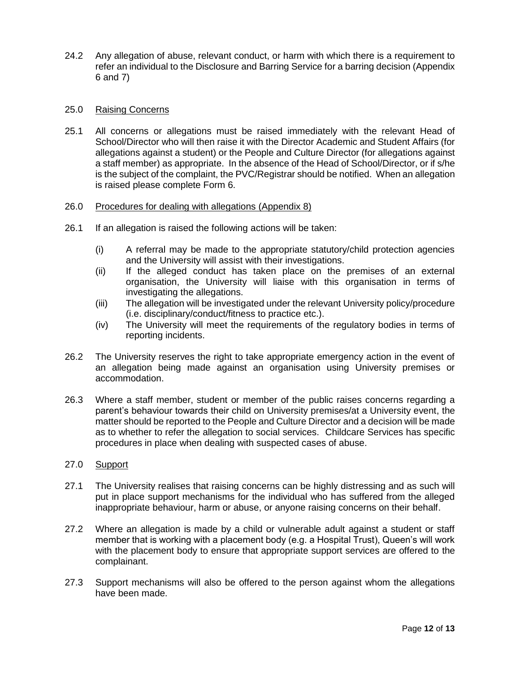24.2 Any allegation of abuse, relevant conduct, or harm with which there is a requirement to refer an individual to the Disclosure and Barring Service for a barring decision (Appendix 6 and 7)

### 25.0 Raising Concerns

25.1 All concerns or allegations must be raised immediately with the relevant Head of School/Director who will then raise it with the Director Academic and Student Affairs (for allegations against a student) or the People and Culture Director (for allegations against a staff member) as appropriate. In the absence of the Head of School/Director, or if s/he is the subject of the complaint, the PVC/Registrar should be notified. When an allegation is raised please complete Form 6.

### 26.0 Procedures for dealing with allegations (Appendix 8)

- 26.1 If an allegation is raised the following actions will be taken:
	- (i) A referral may be made to the appropriate statutory/child protection agencies and the University will assist with their investigations.
	- (ii) If the alleged conduct has taken place on the premises of an external organisation, the University will liaise with this organisation in terms of investigating the allegations.
	- (iii) The allegation will be investigated under the relevant University policy/procedure (i.e. disciplinary/conduct/fitness to practice etc.).
	- (iv) The University will meet the requirements of the regulatory bodies in terms of reporting incidents.
- 26.2 The University reserves the right to take appropriate emergency action in the event of an allegation being made against an organisation using University premises or accommodation.
- 26.3 Where a staff member, student or member of the public raises concerns regarding a parent's behaviour towards their child on University premises/at a University event, the matter should be reported to the People and Culture Director and a decision will be made as to whether to refer the allegation to social services. Childcare Services has specific procedures in place when dealing with suspected cases of abuse.
- 27.0 Support
- 27.1 The University realises that raising concerns can be highly distressing and as such will put in place support mechanisms for the individual who has suffered from the alleged inappropriate behaviour, harm or abuse, or anyone raising concerns on their behalf.
- 27.2 Where an allegation is made by a child or vulnerable adult against a student or staff member that is working with a placement body (e.g. a Hospital Trust), Queen's will work with the placement body to ensure that appropriate support services are offered to the complainant.
- 27.3 Support mechanisms will also be offered to the person against whom the allegations have been made.